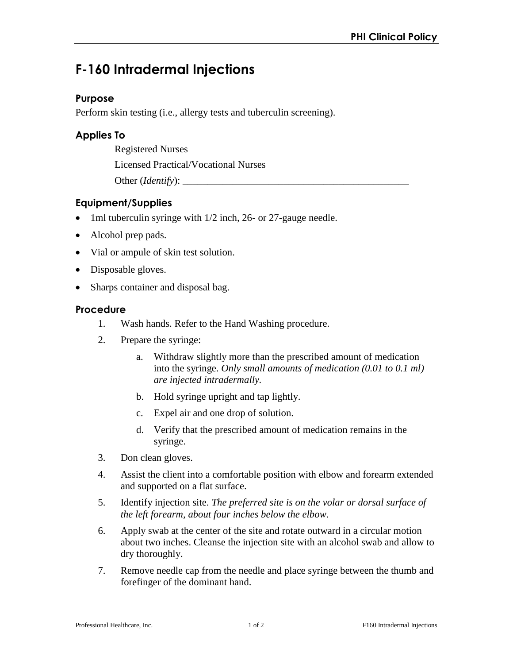# **F-160 Intradermal Injections**

#### **Purpose**

Perform skin testing (i.e., allergy tests and tuberculin screening).

## **Applies To**

Registered Nurses

Licensed Practical/Vocational Nurses

Other (*Identify*):

# **Equipment/Supplies**

- 1ml tuberculin syringe with 1/2 inch, 26- or 27-gauge needle.
- Alcohol prep pads.
- Vial or ampule of skin test solution.
- Disposable gloves.
- Sharps container and disposal bag.

#### **Procedure**

- 1. Wash hands. Refer to the Hand Washing procedure.
- 2. Prepare the syringe:
	- a. Withdraw slightly more than the prescribed amount of medication into the syringe. *Only small amounts of medication (0.01 to 0.1 ml) are injected intradermally.*
	- b. Hold syringe upright and tap lightly.
	- c. Expel air and one drop of solution.
	- d. Verify that the prescribed amount of medication remains in the syringe.
- 3. Don clean gloves.
- 4. Assist the client into a comfortable position with elbow and forearm extended and supported on a flat surface.
- 5. Identify injection site. *The preferred site is on the volar or dorsal surface of the left forearm, about four inches below the elbow.*
- 6. Apply swab at the center of the site and rotate outward in a circular motion about two inches. Cleanse the injection site with an alcohol swab and allow to dry thoroughly.
- 7. Remove needle cap from the needle and place syringe between the thumb and forefinger of the dominant hand.